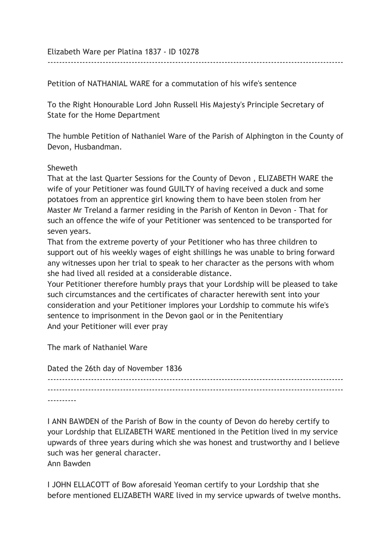Elizabeth Ware per Platina 1837 - ID 10278

Petition of NATHANIAL WARE for a commutation of his wife's sentence

To the Right Honourable Lord John Russell His Majesty's Principle Secretary of State for the Home Department

The humble Petition of Nathaniel Ware of the Parish of Alphington in the County of Devon, Husbandman.

------------------------------------------------------------------------------------------------------

## Sheweth

That at the last Quarter Sessions for the County of Devon , ELIZABETH WARE the wife of your Petitioner was found GUILTY of having received a duck and some potatoes from an apprentice girl knowing them to have been stolen from her Master Mr Treland a farmer residing in the Parish of Kenton in Devon - That for such an offence the wife of your Petitioner was sentenced to be transported for seven years.

That from the extreme poverty of your Petitioner who has three children to support out of his weekly wages of eight shillings he was unable to bring forward any witnesses upon her trial to speak to her character as the persons with whom she had lived all resided at a considerable distance.

Your Petitioner therefore humbly prays that your Lordship will be pleased to take such circumstances and the certificates of character herewith sent into your consideration and your Petitioner implores your Lordship to commute his wife's sentence to imprisonment in the Devon gaol or in the Penitentiary And your Petitioner will ever pray

The mark of Nathaniel Ware

Dated the 26th day of November 1836

------------------------------------------------------------------------------------------------------  $-$ ----------

I ANN BAWDEN of the Parish of Bow in the county of Devon do hereby certify to your Lordship that ELIZABETH WARE mentioned in the Petition lived in my service upwards of three years during which she was honest and trustworthy and I believe such was her general character. Ann Bawden

I JOHN ELLACOTT of Bow aforesaid Yeoman certify to your Lordship that she before mentioned ELIZABETH WARE lived in my service upwards of twelve months.